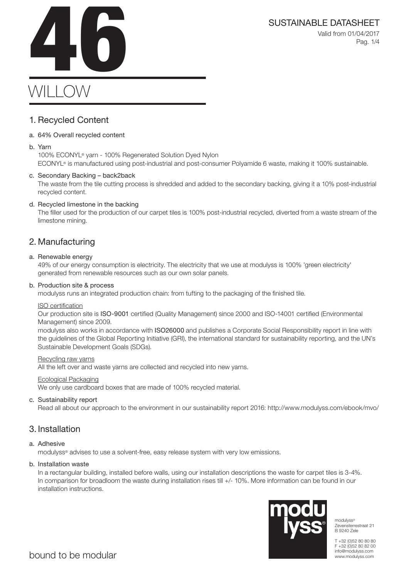SUSTAINABLE DATASHEET<br>Valid from 01/04/2017<br>Pag. 1/4 Valid from 01/04/2017 Pag. 1/4

# $WIIIO$

### 1. Recycled Content

### a. 64% Overall recycled content

#### b. Yarn

100% ECONYL® yarn - 100% Regenerated Solution Dyed Nylon ECONYL® is manufactured using post-industrial and post-consumer Polyamide 6 waste, making it 100% sustainable.

### c. Secondary Backing – back2back

The waste from the tile cutting process is shredded and added to the secondary backing, giving it a 10% post-industrial recycled content.

### d. Recycled limestone in the backing

The filler used for the production of our carpet tiles is 100% post-industrial recycled, diverted from a waste stream of the limestone mining.

### 2. Manufacturing

### a. Renewable energy

49% of our energy consumption is electricity. The electricity that we use at modulyss is 100% 'green electricity' generated from renewable resources such as our own solar panels.

#### b. Production site & process

modulyss runs an integrated production chain: from tufting to the packaging of the finished tile.

#### ISO certification

Our production site is ISO-9001 certified (Quality Management) since 2000 and ISO-14001 certified (Environmental Management) since 2009.

modulyss also works in accordance with ISO26000 and publishes a Corporate Social Responsibility report in line with the guidelines of the Global Reporting Initiative (GRI), the international standard for sustainability reporting, and the UN's Sustainable Development Goals (SDGs).

#### Recycling raw yarns

All the left over and waste yarns are collected and recycled into new yarns.

#### Ecological Packaging

We only use cardboard boxes that are made of 100% recycled material.

### c. Sustainability report

Read all about our approach to the environment in our sustainability report 2016: http://www.modulyss.com/ebook/mvo/

### 3. Installation

### a. Adhesive

modulyss® advises to use a solvent-free, easy release system with very low emissions.

#### b. Installation waste

In a rectangular building, installed before walls, using our installation descriptions the waste for carpet tiles is 3-4%. In comparison for broadloom the waste during installation rises till +/- 10%. More information can be found in our installation instructions.



modulyss® Zevensterrestraat 21 B 9240 Zele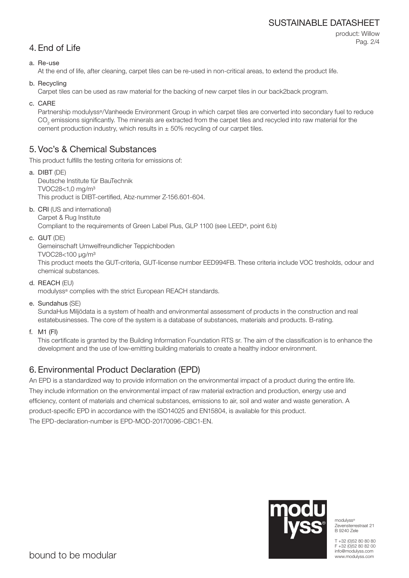### SUSTAINABLE DATASHEET

```
4. End of Life
```
product: Willow Pag. 2/4

### a. Re-use

At the end of life, after cleaning, carpet tiles can be re-used in non-critical areas, to extend the product life.

b. Recycling

Carpet tiles can be used as raw material for the backing of new carpet tiles in our back2back program.

c. CARE

Partnership modulyss®/Vanheede Environment Group in which carpet tiles are converted into secondary fuel to reduce  $\mathrm{CO}_2$  emissions significantly. The minerals are extracted from the carpet tiles and recycled into raw material for the cement production industry, which results in  $\pm$  50% recycling of our carpet tiles.

### 5. Voc's & Chemical Substances

This product fulfills the testing criteria for emissions of:

- a. DIBT (DE) Deutsche Institute für BauTechnik TVOC28<1,0 mg/m³ This product is DIBT-certified, Abz-nummer Z-156.601-604.
- b. CRI (US and international)

Carpet & Rug Institute Compliant to the requirements of Green Label Plus, GLP 1100 (see LEED®, point 6.b)

c. GUT (DE)

Gemeinschaft Umwelfreundlicher Teppichboden

TVOC28<100 μg/m³

This product meets the GUT-criteria, GUT-license number EED994FB. These criteria include VOC tresholds, odour and chemical substances.

d. REACH (EU)

modulyss® complies with the strict European REACH standards.

e. Sundahus (SE)

SundaHus Miljödata is a system of health and environmental assessment of products in the construction and real estatebusinesses. The core of the system is a database of substances, materials and products. B-rating.

f. M1 (FI)

This certificate is granted by the Building Information Foundation RTS sr. The aim of the classification is to enhance the development and the use of low-emitting building materials to create a healthy indoor environment.

## 6. Environmental Product Declaration (EPD)

An EPD is a standardized way to provide information on the environmental impact of a product during the entire life. They include information on the environmental impact of raw material extraction and production, energy use and efficiency, content of materials and chemical substances, emissions to air, soil and water and waste generation. A product-specific EPD in accordance with the ISO14025 and EN15804, is available for this product. The EPD-declaration-number is EPD-MOD-20170096-CBC1-EN.



modulyss® Zevensterrestraat 21 B 9240 Zele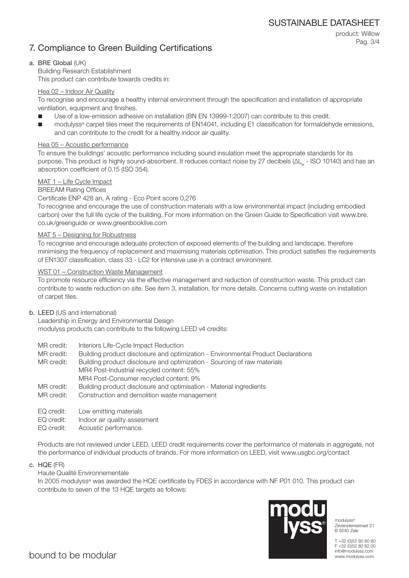### 7. Compliance to Green Building Certifications

product: Willow Pag. 3/4

### a. BRE Global (UK)

Building Research Establishment This product can contribute towards credits in:

### Hea 02 – Indoor Air Quality

To recognise and encourage a healthy internal environment through the specification and installation of appropriate ventilation, equipment and finishes.

- Use of a low-emission adhesive on installation (BN EN 13999-1:2007) can contribute to this credit.
- modulyss® carpet tiles meet the requirements of EN14041, including E1 classification for formaldehyde emissions, and can contribute to the credit for a healthy indoor air quality.

### Hea 05 – Acoustic performance

To ensure the buildings' acoustic performance including sound insulation meet the appropriate standards for its purpose. This product is highly sound-absorbent. It reduces contact noise by 27 decibels (ΔL<sub>w</sub> - ISO 10140) and has an absorption coefficient of 0.15 (ISO 354).

### MAT 1 – Life Cycle Impact

### BREEAM Rating Offices

#### Certificate ENP 428 an, A rating - Eco Point score 0,276

To recognise and encourage the use of construction materials with a low environmental impact (including embodied carbon) over the full life cycle of the building. For more information on the Green Guide to Specification visit www.bre. co.uk/greenguide or www.greenbooklive.com

#### MAT 5 – Designing for Robustness

To recognise and encourage adequate protection of exposed elements of the building and landscape, therefore minimising the frequency of replacement and maximising materials optimisation. This product satisfies the requirements of EN1307 classification, class 33 - LC2 for intensive use in a contract environment.

### WST 01 – Construction Waste Management

To promote resource efficiency via the effective management and reduction of construction waste. This product can contribute to waste reduction on site. See item 3, installation, for more details. Concerns cutting waste on installation of carpet tiles.

#### b. LEED (US and international)

Leadership in Energy and Environmental Design modulyss products can contribute to the following LEED v4 credits:

- MR credit: Interiors Life-Cycle Impact Reduction
- MR credit: Building product disclosure and optimization Environmental Product Declarations

MR credit: Building product disclosure and optimization - Sourcing of raw materials MR4 Post-Industrial recycled content: 55% MR4 Post-Consumer recycled content: 9%

- MR credit: Building product disclosure and optimisation Material ingredients
- MR credit: Construction and demolition waste management
- EQ credit: Low emitting materials
- EQ credit: Indoor air quality assesment
- EQ credit: Acoustic performance.

Products are not reviewed under LEED, LEED credit requirements cover the performance of materials in aggregate, not the performance of individual products of brands. For more information on LEED, visit www.usgbc.org/contact

c. HQE (FR)

### Haute Qualité Environnementale

In 2005 modulyss® was awarded the HQE certificate by FDES in accordance with NF P01 010. This product can contribute to seven of the 13 HQE targets as follows:



modulyss® Zevensterrestraat 21 B 9240 Zele